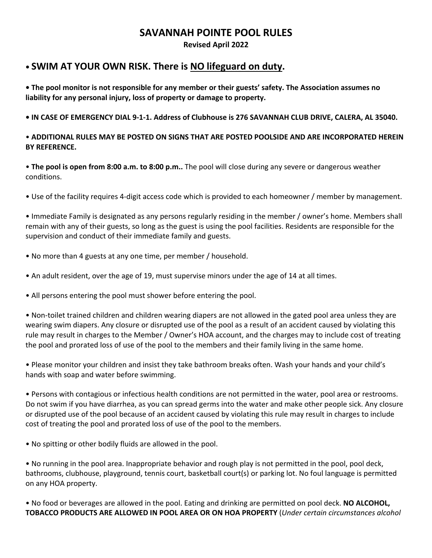## **SAVANNAH POINTE POOL RULES**

**Revised April 2022**

## **• SWIM AT YOUR OWN RISK. There is NO lifeguard on duty.**

**• The pool monitor is not responsible for any member or their guests' safety. The Association assumes no liability for any personal injury, loss of property or damage to property.**

**• IN CASE OF EMERGENCY DIAL 9-1-1. Address of Clubhouse is 276 SAVANNAH CLUB DRIVE, CALERA, AL 35040.**

#### • **ADDITIONAL RULES MAY BE POSTED ON SIGNS THAT ARE POSTED POOLSIDE AND ARE INCORPORATED HEREIN BY REFERENCE.**

• **The pool is open from 8:00 a.m. to 8:00 p.m..** The pool will close during any severe or dangerous weather conditions.

• Use of the facility requires 4-digit access code which is provided to each homeowner / member by management.

• Immediate Family is designated as any persons regularly residing in the member / owner's home. Members shall remain with any of their guests, so long as the guest is using the pool facilities. Residents are responsible for the supervision and conduct of their immediate family and guests.

- No more than 4 guests at any one time, per member / household.
- An adult resident, over the age of 19, must supervise minors under the age of 14 at all times.
- All persons entering the pool must shower before entering the pool.

• Non-toilet trained children and children wearing diapers are not allowed in the gated pool area unless they are wearing swim diapers. Any closure or disrupted use of the pool as a result of an accident caused by violating this rule may result in charges to the Member / Owner's HOA account, and the charges may to include cost of treating the pool and prorated loss of use of the pool to the members and their family living in the same home.

• Please monitor your children and insist they take bathroom breaks often. Wash your hands and your child's hands with soap and water before swimming.

• Persons with contagious or infectious health conditions are not permitted in the water, pool area or restrooms. Do not swim if you have diarrhea, as you can spread germs into the water and make other people sick. Any closure or disrupted use of the pool because of an accident caused by violating this rule may result in charges to include cost of treating the pool and prorated loss of use of the pool to the members.

• No spitting or other bodily fluids are allowed in the pool.

• No running in the pool area. Inappropriate behavior and rough play is not permitted in the pool, pool deck, bathrooms, clubhouse, playground, tennis court, basketball court(s) or parking lot. No foul language is permitted on any HOA property.

• No food or beverages are allowed in the pool. Eating and drinking are permitted on pool deck. **NO ALCOHOL, TOBACCO PRODUCTS ARE ALLOWED IN POOL AREA OR ON HOA PROPERTY** (*Under certain circumstances alcohol*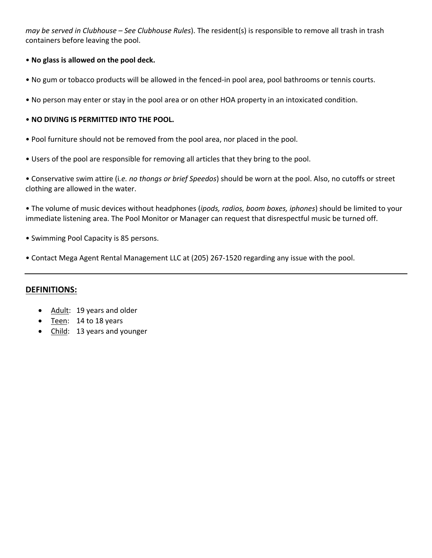*may be served in Clubhouse – See Clubhouse Rules*). The resident(s) is responsible to remove all trash in trash containers before leaving the pool.

#### • **No glass is allowed on the pool deck.**

- No gum or tobacco products will be allowed in the fenced-in pool area, pool bathrooms or tennis courts.
- No person may enter or stay in the pool area or on other HOA property in an intoxicated condition.

#### • **NO DIVING IS PERMITTED INTO THE POOL.**

- Pool furniture should not be removed from the pool area, nor placed in the pool.
- Users of the pool are responsible for removing all articles that they bring to the pool.

• Conservative swim attire (i*.e. no thongs or brief Speedos*) should be worn at the pool. Also, no cutoffs or street clothing are allowed in the water.

• The volume of music devices without headphones (*ipods, radios, boom boxes, iphones*) should be limited to your immediate listening area. The Pool Monitor or Manager can request that disrespectful music be turned off.

- Swimming Pool Capacity is 85 persons.
- Contact Mega Agent Rental Management LLC at (205) 267-1520 regarding any issue with the pool.

#### **DEFINITIONS:**

- Adult: 19 years and older
- Teen: 14 to 18 years
- Child: 13 years and younger